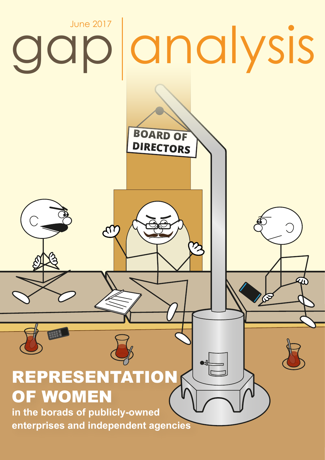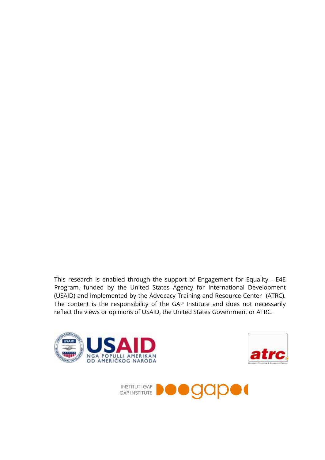This research is enabled through the support of Engagement for Equality - E4E Program, funded by the United States Agency for International Development (USAID) and implemented by the Advocacy Training and Resource Center (ATRC). The content is the responsibility of the GAP Institute and does not necessarily reflect the views or opinions of USAID, the United States Government or ATRC.





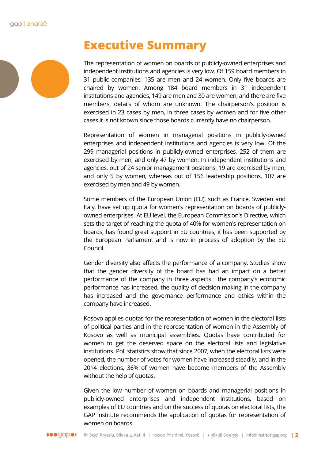

## **Executive Summary**

The representation of women on boards of publicly-owned enterprises and independent institutions and agencies is very low. Of 159 board members in 31 public companies, 135 are men and 24 women. Only five boards are chaired by women. Among 184 board members in 31 independent institutions and agencies, 149 are men and 30 are women, and there are five members, details of whom are unknown. The chairperson's position is exercised in 23 cases by men, in three cases by women and for five other cases it is not known since those boards currently have no chairperson.

Representation of women in managerial positions in publicly-owned enterprises and independent institutions and agencies is very low. Of the 299 managerial positions in publicly-owned enterprises, 252 of them are exercised by men, and only 47 by women. In independent institutions and agencies, out of 24 senior management positions, 19 are exercised by men, and only 5 by women, whereas out of 156 leadership positions, 107 are exercised by men and 49 by women.

Some members of the European Union (EU), such as France, Sweden and Italy, have set up quota for women's representation on boards of publiclyowned enterprises. At EU level, the European Commission's Directive, which sets the target of reaching the quota of 40% for women's representation on boards, has found great support in EU countries, it has been supported by the European Parliament and is now in process of adoption by the EU Council.

Gender diversity also affects the performance of a company. Studies show that the gender diversity of the board has had an impact on a better performance of the company in three aspects: the company's economic performance has increased, the quality of decision-making in the company has increased and the governance performance and ethics within the company have increased.

Kosovo applies quotas for the representation of women in the electoral lists of political parties and in the representation of women in the Assembly of Kosovo as well as municipal assemblies. Quotas have contributed for women to get the deserved space on the electoral lists and legislative institutions. Poll statistics show that since 2007, when the electoral lists were opened, the number of votes for women have increased steadily, and in the 2014 elections, 36% of women have become members of the Assembly without the help of quotas.

Given the low number of women on boards and managerial positions in publicly-owned enterprises and independent institutions, based on examples of EU countries and on the success of quotas on electoral lists, the GAP Institute recommends the application of quotas for representation of women on boards.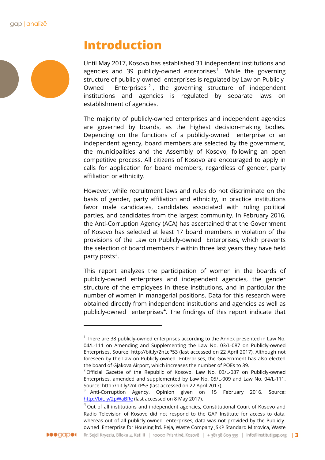

### **Introduction**

Until May 2017, Kosovo has established 31 independent institutions and agencies and 39 publicly-owned enterprises<sup>[1](#page-3-0)</sup>. While the governing structure of publicly-owned enterprises is regulated by Law on Publicly-Owned Enterprises<sup>[2](#page-3-1)</sup>, the governing structure of independent institutions and agencies is regulated by separate laws on establishment of agencies.

The majority of publicly-owned enterprises and independent agencies are governed by boards, as the highest decision-making bodies. Depending on the functions of a publicly-owned enterprise or an independent agency, board members are selected by the government, the municipalities and the Assembly of Kosovo, following an open competitive process. All citizens of Kosovo are encouraged to apply in calls for application for board members, regardless of gender, party affiliation or ethnicity.

However, while recruitment laws and rules do not discriminate on the basis of gender, party affiliation and ethnicity, in practice institutions favor male candidates, candidates associated with ruling political parties, and candidates from the largest community. In February 2016, the Anti-Corruption Agency (ACA) has ascertained that the Government of Kosovo has selected at least 17 board members in violation of the provisions of the Law on Publicly-owned Enterprises, which prevents the selection of board members if within three last years they have held party posts<sup>[3](#page-3-2)</sup>.

This report analyzes the participation of women in the boards of publicly-owned enterprises and independent agencies, the gender structure of the employees in these institutions, and in particular the number of women in managerial positions. Data for this research were obtained directly from independent institutions and agencies as well as publicly-owned enterprises<sup>[4](#page-3-3)</sup>. The findings of this report indicate that

<span id="page-3-3"></span><span id="page-3-2"></span><span id="page-3-1"></span><span id="page-3-0"></span> $4$  Out of all institutions and independent agencies, Constitutional Court of Kosovo and Radio Television of Kosovo did not respond to the GAP Institute for access to data, whereas out of all publicly-owned enterprises, data was not provided by the Publiclyowned Enterprise for Housing ltd. Peja, Waste Company JSKP Standard Mitrovica, Waste



 $1$  There are 38 publicly-owned enterprises according to the Annex presented in Law No. 04/L-111 on Amending and Supplementing the Law No. 03/L-087 on Publicly-owned Enterprises. Source: http://bit.ly/2nLcP53 (last accessed on 22 April 2017). Although not foreseen by the Law on Publicly-owned Enterprises, the Government has also elected the board of Gjakova Airport, which increases the number of POEs to 39.

 $2$  Official Gazette of the Republic of Kosovo. Law No. 03/L-087 on Publicly-owned Enterprises, amended and supplemented by Law No. 05/L-009 and Law No. 04/L-111. Source: http://bit.ly/2nLcP53 (last accessed on 22 April 2017).

<sup>&</sup>lt;sup>3</sup> Anti-Corruption Agency. Opinion given on 15 February 2016. Source: <http://bit.ly/2pWaBRe> (last accessed on 8 May 2017).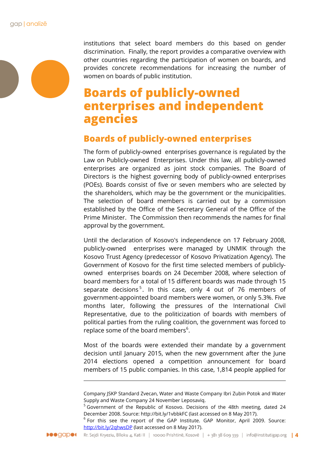institutions that select board members do this based on gender discrimination. Finally, the report provides a comparative overview with other countries regarding the participation of women on boards, and provides concrete recommendations for increasing the number of women on boards of public institution.

## **Boards of publicly-owned enterprises and independent agencies**

### **Boards of publicly-owned enterprises**

The form of publicly-owned enterprises governance is regulated by the Law on Publicly-owned Enterprises. Under this law, all publicly-owned enterprises are organized as joint stock companies. The Board of Directors is the highest governing body of publicly-owned enterprises (POEs). Boards consist of five or seven members who are selected by the shareholders, which may be the government or the municipalities. The selection of board members is carried out by a commission established by the Office of the Secretary General of the Office of the Prime Minister. The Commission then recommends the names for final approval by the government.

Until the declaration of Kosovo's independence on 17 February 2008, publicly-owned enterprises were managed by UNMIK through the Kosovo Trust Agency (predecessor of Kosovo Privatization Agency). The Government of Kosovo for the first time selected members of publiclyowned enterprises boards on 24 December 2008, where selection of board members for a total of 15 different boards was made through 15 separate decisions<sup>[5](#page-4-0)</sup>. In this case, only 4 out of 76 members of government-appointed board members were women, or only 5.3%. Five months later, following the pressures of the International Civil Representative, due to the politicization of boards with members of political parties from the ruling coalition, the government was forced to replace some of the board members $6$ .

Most of the boards were extended their mandate by a government decision until January 2015, when the new government after the June 2014 elections opened a competition announcement for board members of 15 public companies. In this case, 1,814 people applied for

-

Company JSKP Standard Zvecan, Water and Waste Company Ibri Zubin Potok and Water Supply and Waste Company 24 November Leposaviq.

<span id="page-4-0"></span><sup>&</sup>lt;sup>5</sup> Government of the Republic of Kosovo. Decisions of the 48th meeting, dated 24 December 2008. Source: http://bit.ly/1vbbkFC (last accessed on 8 May 2017).

<span id="page-4-1"></span> $6$  For this see the report of the GAP Institute. GAP Monitor, April 2009. Source: <http://bit.ly/2qhwsDP> (last accessed on 8 May 2017).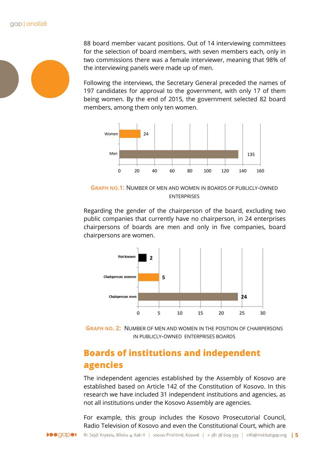

88 board member vacant positions. Out of 14 interviewing committees for the selection of board members, with seven members each, only in two commissions there was a female interviewer, meaning that 98% of the interviewing panels were made up of men.

Following the interviews, the Secretary General preceded the names of 197 candidates for approval to the government, with only 17 of them being women. By the end of 2015, the government selected 82 board members, among them only ten women.



**GRAPH NO.1:** NUMBER OF MEN AND WOMEN IN BOARDS OF PUBLICLY-OWNED ENTERPRISES

Regarding the gender of the chairperson of the board, excluding two public companies that currently have no chairperson, in 24 enterprises chairpersons of boards are men and only in five companies, board chairpersons are women.



**GRAPH NO. 2:** NUMBER OF MEN AND WOMEN IN THE POSITION OF CHAIRPERSONS IN PUBLICLY-OWNED ENTERPRISES BOARDS

### **Boards of institutions and independent agencies**

The independent agencies established by the Assembly of Kosovo are established based on Article 142 of the Constitution of Kosovo. In this research we have included 31 independent institutions and agencies, as not all institutions under the Kosovo Assembly are agencies.

For example, this group includes the Kosovo Prosecutorial Council, Radio Television of Kosovo and even the Constitutional Court, which are

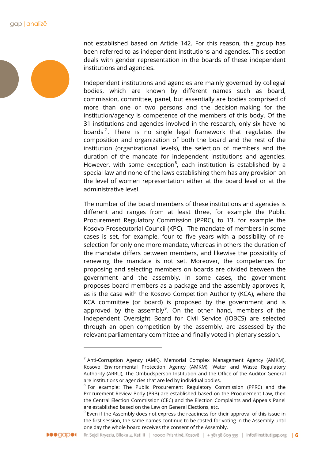not established based on Article 142. For this reason, this group has been referred to as independent institutions and agencies. This section deals with gender representation in the boards of these independent institutions and agencies.

Independent institutions and agencies are mainly governed by collegial bodies, which are known by different names such as board, commission, committee, panel, but essentially are bodies comprised of more than one or two persons and the decision-making for the institution/agency is competence of the members of this body. Of the 31 institutions and agencies involved in the research, only six have no boards<sup>[7](#page-6-0)</sup>. There is no single legal framework that regulates the composition and organization of both the board and the rest of the institution (organizational levels), the selection of members and the duration of the mandate for independent institutions and agencies. However, with some exception $^8$  $^8$ , each institution is established by a special law and none of the laws establishing them has any provision on the level of women representation either at the board level or at the administrative level.

The number of the board members of these institutions and agencies is different and ranges from at least three, for example the Public Procurement Regulatory Commission (PPRC), to 13, for example the Kosovo Prosecutorial Council (KPC). The mandate of members in some cases is set, for example, four to five years with a possibility of reselection for only one more mandate, whereas in others the duration of the mandate differs between members, and likewise the possibility of renewing the mandate is not set. Moreover, the competences for proposing and selecting members on boards are divided between the government and the assembly. In some cases, the government proposes board members as a package and the assembly approves it, as is the case with the Kosovo Competition Authority (KCA), where the KCA committee (or board) is proposed by the government and is approved by the assembly $9$ . On the other hand, members of the Independent Oversight Board for Civil Service (IOBCS) are selected through an open competition by the assembly, are assessed by the relevant parliamentary committee and finally voted in plenary session.

<span id="page-6-0"></span> $7$  Anti-Corruption Agency (AMK), Memorial Complex Management Agency (AMKM), Kosovo Environmental Protection Agency (AMKM), Water and Waste Regulatory Authority (ARRU), The Ombudsperson Institution and the Office of the Auditor General are institutions or agencies that are led by individual bodies.

<span id="page-6-1"></span><sup>&</sup>lt;sup>8</sup> For example: The Public Procurement Regulatory Commission (PPRC) and the Procurement Review Body (PRB) are established based on the Procurement Law, then the Central Election Commission (CEC) and the Election Complaints and Appeals Panel are established based on the Law on General Elections, etc.

<span id="page-6-2"></span><sup>&</sup>lt;sup>9</sup> Even if the Assembly does not express the readiness for their approval of this issue in the first session, the same names continue to be casted for voting in the Assembly until one day the whole board receives the consent of the Assembly.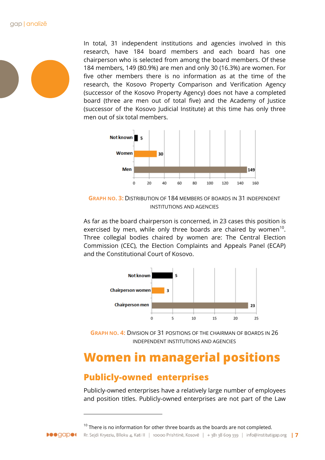

In total, 31 independent institutions and agencies involved in this research, have 184 board members and each board has one chairperson who is selected from among the board members. Of these 184 members, 149 (80.9%) are men and only 30 (16.3%) are women. For five other members there is no information as at the time of the research, the Kosovo Property Comparison and Verification Agency (successor of the Kosovo Property Agency) does not have a completed board (three are men out of total five) and the Academy of Justice (successor of the Kosovo Judicial Institute) at this time has only three men out of six total members.



**GRAPH NO. 3:** DISTRIBUTION OF 184 MEMBERS OF BOARDS IN 31 INDEPENDENT INSTITUTIONS AND AGENCIES

As far as the board chairperson is concerned, in 23 cases this position is exercised by men, while only three boards are chaired by women<sup>10</sup>. Three collegial bodies chaired by women are: The Central Election Commission (CEC), the Election Complaints and Appeals Panel (ECAP) and the Constitutional Court of Kosovo.



**GRAPH NO. 4:** DIVISION OF 31 POSITIONS OF THE CHAIRMAN OF BOARDS IN 26 INDEPENDENT INSTITUTIONS AND AGENCIES

# **Women in managerial positions**

### **Publicly-owned enterprises**

1

<span id="page-7-0"></span>**Deegaper** 

Publicly-owned enterprises have a relatively large number of employees and position titles. Publicly-owned enterprises are not part of the Law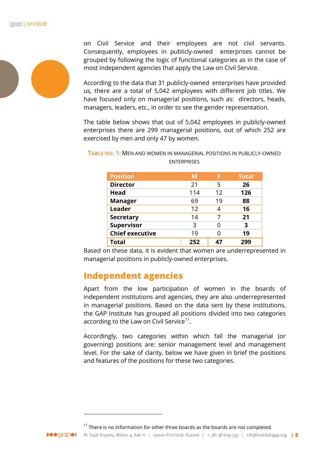

on Civil Service and their employees are not civil servants. Consequently, employees in publicly-owned enterprises cannot be grouped by following the logic of functional categories as in the case of most independent agencies that apply the Law on Civil Service.

According to the data that 31 publicly-owned enterprises have provided us, there are a total of 5,042 employees with different job titles. We have focused only on managerial positions, such as: directors, heads, managers, leaders, etc., in order to see the gender representation.

The table below shows that out of 5,042 employees in publicly-owned enterprises there are 299 managerial positions, out of which 252 are exercised by men and only 47 by women.

**TABLE NO. 1:** MEN AND WOMEN IN MANAGERIAL POSITIONS IN PUBLICLY-OWNED **ENTERPRISES** 

| <b>Position</b>        | М   | F                 | <b>Total</b> |
|------------------------|-----|-------------------|--------------|
| <b>Director</b>        | 21  | 5                 | 26           |
| <b>Head</b>            | 114 | $12 \overline{ }$ | 126          |
| <b>Manager</b>         | 69  | 19                | 88           |
| Leader                 | 12  | Δ                 | 16           |
| <b>Secretary</b>       | 14  |                   | 21           |
| <b>Supervisor</b>      | 3   |                   | 3            |
| <b>Chief executive</b> | 19  |                   | 19           |
| Total                  | 252 | רו                | 299          |

Based on these data, it is evident that women are underrepresented in managerial positions in publicly-owned enterprises.

### **Independent agencies**

Apart from the low participation of women in the boards of independent institutions and agencies, they are also underrepresented in managerial positions. Based on the data sent by these institutions, the GAP Institute has grouped all positions divided into two categories according to the Law on Civil Service<sup>[11](#page-8-0)</sup>.

Accordingly, two categories within which fall the managerial (or governing) positions are: senior management level and management level. For the sake of clarity, below we have given in brief the positions and features of the positions for these two categories.

<span id="page-8-0"></span> $11$  There is no information for other three boards as the boards are not completed.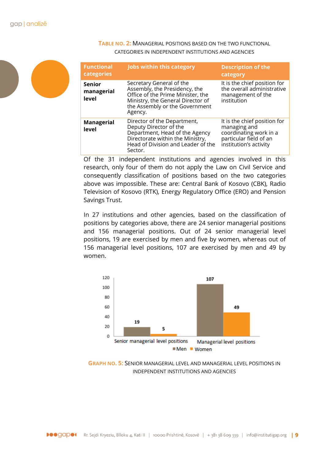

#### **TABLE NO. 2:** MANAGERIAL POSITIONS BASED ON THE TWO FUNCTIONAL CATEGORIES IN INDEPENDENT INSTITUTIONS AND AGENCIES

| <b>Functional</b><br>categories      | <b>Jobs within this category</b>                                                                                                                                                 | <b>Description of the</b><br>category                                                                                      |
|--------------------------------------|----------------------------------------------------------------------------------------------------------------------------------------------------------------------------------|----------------------------------------------------------------------------------------------------------------------------|
| <b>Senior</b><br>managerial<br>level | Secretary General of the<br>Assembly, the Presidency, the<br>Office of the Prime Minister, the<br>Ministry, the General Director of<br>the Assembly or the Government<br>Agency. | It is the chief position for<br>the overall administrative<br>management of the<br>institution                             |
| <b>Managerial</b><br>level           | Director of the Department,<br>Deputy Director of the<br>Department, Head of the Agency<br>Directorate within the Ministry,<br>Head of Division and Leader of the<br>Sector.     | It is the chief position for<br>managing and<br>coordinating work in a<br>particular field of an<br>institution's activity |

Of the 31 independent institutions and agencies involved in this research, only four of them do not apply the Law on Civil Service and consequently classification of positions based on the two categories above was impossible. These are: Central Bank of Kosovo (CBK), Radio Television of Kosovo (RTK), Energy Regulatory Office (ERO) and Pension Savings Trust.

In 27 institutions and other agencies, based on the classification of positions by categories above, there are 24 senior managerial positions and 156 managerial positions. Out of 24 senior managerial level positions, 19 are exercised by men and five by women, whereas out of 156 managerial level positions, 107 are exercised by men and 49 by women.



**GRAPH NO. 5:** SENIOR MANAGERIAL LEVEL AND MANAGERIAL LEVEL POSITIONS IN INDEPENDENT INSTITUTIONS AND AGENCIES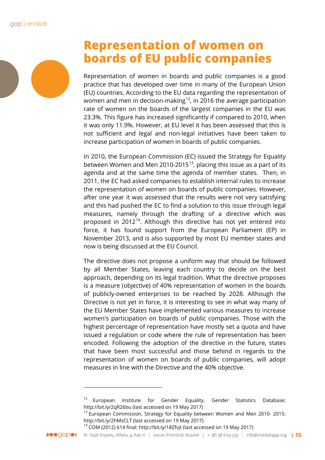# **Representation of women on boards of EU public companies**

Representation of women in boards and public companies is a good practice that has developed over time in many of the European Union (EU) countries. According to the EU data regarding the representation of women and men in decision-making<sup>[12](#page-10-0)</sup>, in 2016 the average participation rate of women on the boards of the largest companies in the EU was 23.3%. This figure has increased significantly if compared to 2010, when it was only 11.9%. However, at EU level it has been assessed that this is not sufficient and legal and non-legal initiatives have been taken to increase participation of women in boards of public companies.

In 2010, the European Commission (EC) issued the Strategy for Equality between Women and Men 2010-2015 $13$ , placing this issue as a part of its agenda and at the same time the agenda of member states. Then, in 2011, the EC had asked companies to establish internal rules to increase the representation of women on boards of public companies. However, after one year it was assessed that the results were not very satisfying and this had pushed the EC to find a solution to this issue through legal measures, namely through the drafting of a directive which was proposed in 2012<sup>14</sup>. Although this directive has not yet entered into force, it has found support from the European Parliament (EP) in November 2013, and is also supported by most EU member states and now is being discussed at the EU Council.

The directive does not propose a uniform way that should be followed by all Member States, leaving each country to decide on the best approach, depending on its legal tradition. What the directive proposes is a measure (objective) of 40% representation of women in the boards of publicly-owned enterprises to be reached by 2028. Although the Directive is not yet in force, it is interesting to see in what way many of the EU Member States have implemented various measures to increase women's participation on boards of public companies. Those with the highest percentage of representation have mostly set a quota and have issued a regulation or code where the rule of representation has been encoded. Following the adoption of the directive in the future, states that have been most successful and those behind in regards to the representation of women on boards of public companies, will adopt measures in line with the Directive and the 40% objective.

<span id="page-10-2"></span><span id="page-10-1"></span><span id="page-10-0"></span><sup>14</sup> COM (2012) 614 final: http://bit.ly/18Zfvjt (last accessed on 19 May 2017)



 $12$  European Institute for Gender Equality, Gender Statistics Database: http://bit.ly/2qR26bu (last accessed on 19 May 2017)

<sup>&</sup>lt;sup>13</sup> European Commission, Strategy for Equality between Women and Men 2010- 2015: http://bit.ly/2hMsCLT (last accessed on 19 May 2017)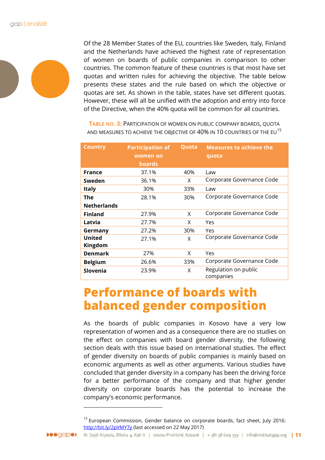

Of the 28 Member States of the EU, countries like Sweden, Italy, Finland and the Netherlands have achieved the highest rate of representation of women on boards of public companies in comparison to other countries. The common feature of these countries is that most have set quotas and written rules for achieving the objective. The table below presents these states and the rule based on which the objective or quotas are set. As shown in the table, states have set different quotas. However, these will all be unified with the adoption and entry into force of the Directive, when the 40% quota will be common for all countries.

**TABLE NO. 3:** PARTICIPATION OF WOMEN ON PUBLIC COMPANY BOARDS, QUOTA AND MEASURES TO ACHIEVE THE OBJECTIVE OF 40% IN 10 COUNTRIES OF THE EU<sup>[15](#page-11-0)</sup>

| <b>Country</b>     | <b>Participation of</b> | Quota | <b>Measures to achieve the</b>    |
|--------------------|-------------------------|-------|-----------------------------------|
|                    | women on                |       | quota                             |
|                    | <b>boards</b>           |       |                                   |
| <b>France</b>      | 37.1%                   | 40%   | Law                               |
| Sweden             | 36.1%                   | X     | Corporate Governance Code         |
| <b>Italy</b>       | 30%                     | 33%   | Law                               |
| The                | 28.1%                   | 30%   | Corporate Governance Code         |
| <b>Netherlands</b> |                         |       |                                   |
| <b>Finland</b>     | 27.9%                   | X     | Corporate Governance Code         |
| Latvia             | 27.7%                   | X     | Yes                               |
| Germany            | 27.2%                   | 30%   | Yes                               |
| <b>United</b>      | 27.1%                   | X     | Corporate Governance Code         |
| Kingdom            |                         |       |                                   |
| <b>Denmark</b>     | 27%                     | X     | Yes                               |
| <b>Belgium</b>     | 26.6%                   | 33%   | Corporate Governance Code         |
| Slovenia           | 23.9%                   | X     | Regulation on public<br>companies |

## **Performance of boards with balanced gender composition**

As the boards of public companies in Kosovo have a very low representation of women and as a consequence there are no studies on the effect on companies with board gender diversity, the following section deals with this issue based on international studies. The effect of gender diversity on boards of public companies is mainly based on economic arguments as well as other arguments. Various studies have concluded that gender diversity in a company has been the driving force for a better performance of the company and that higher gender diversity on corporate boards has the potential to increase the company's economic performance.

-

<span id="page-11-0"></span> $15$  European Commission, Gender balance on corporate boards, fact sheet, July 2016: <http://bit.ly/2pVMY7y> (last accessed on 22 May 2017)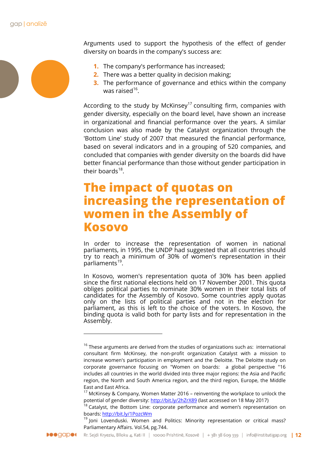

Arguments used to support the hypothesis of the effect of gender diversity on boards in the company's success are:

- **1.** The company's performance has increased;
- **2.** There was a better quality in decision making;
- **3.** The performance of governance and ethics within the company was raised $16$ .

According to the study by McKinsey<sup>[17](#page-12-1)</sup> consulting firm, companies with gender diversity, especially on the board level, have shown an increase in organizational and financial performance over the years. A similar conclusion was also made by the Catalyst organization through the 'Bottom Line' study of 2007 that measured the financial performance, based on several indicators and in a grouping of 520 companies, and concluded that companies with gender diversity on the boards did have better financial performance than those without gender participation in their boards $18$ .

### **The impact of quotas on increasing the representation of women in the Assembly of Kosovo**

In order to increase the representation of women in national parliaments, in 1995, the UNDP had suggested that all countries should try to reach a minimum of 30% of women's representation in their parliaments<sup>[19](#page-12-3)</sup>.

In Kosovo, women's representation quota of 30% has been applied since the first national elections held on 17 November 2001. This quota obliges political parties to nominate 30% women in their total lists of candidates for the Assembly of Kosovo. Some countries apply quotas only on the lists of political parties and not in the election for parliament, as this is left to the choice of the voters. In Kosovo, the binding quota is valid both for party lists and for representation in the Assembly.

<span id="page-12-0"></span> $16$  These arguments are derived from the studies of organizations such as: international consultant firm McKinsey, the non-profit organization Catalyst with a mission to increase women's participation in employment and the Deloitte. The Deloitte study on corporate governance focusing on "Women on boards: a global perspective "16 includes all countries in the world divided into three major regions: the Asia and Pacific region, the North and South America region, and the third region, Europe, the Middle East and East Africa.

 $17$  McKinsey & Company, Women Matter 2016 – reinventing the workplace to unlock the potential of gender diversity:<http://bit.ly/2hZrX89> (last accessed on 18 May 2017)

<span id="page-12-3"></span><span id="page-12-2"></span><span id="page-12-1"></span> $18$  Catalyst, the Bottom Line: corporate performance and women's representation on boards[: http://bit.ly/1PozcWm](http://bit.ly/1PozcWm)

<sup>&</sup>lt;sup>19</sup> Joni Lovenduski. Women and Politics: Minority representation or critical mass? Parliamentary Affairs. Vol.54, pg.744.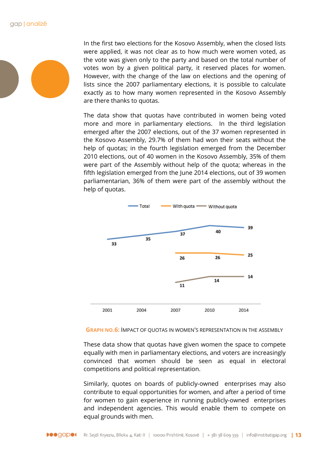In the first two elections for the Kosovo Assembly, when the closed lists were applied, it was not clear as to how much were women voted, as the vote was given only to the party and based on the total number of votes won by a given political party, it reserved places for women. However, with the change of the law on elections and the opening of lists since the 2007 parliamentary elections, it is possible to calculate exactly as to how many women represented in the Kosovo Assembly are there thanks to quotas.

The data show that quotas have contributed in women being voted more and more in parliamentary elections. In the third legislation emerged after the 2007 elections, out of the 37 women represented in the Kosovo Assembly, 29.7% of them had won their seats without the help of quotas; in the fourth legislation emerged from the December 2010 elections, out of 40 women in the Kosovo Assembly, 35% of them were part of the Assembly without help of the quota; whereas in the fifth legislation emerged from the June 2014 elections, out of 39 women parliamentarian, 36% of them were part of the assembly without the help of quotas.



**GRAPH NO.6:** IMPACT OF QUOTAS IN WOMEN'S REPRESENTATION IN THE ASSEMBLY

These data show that quotas have given women the space to compete equally with men in parliamentary elections, and voters are increasingly convinced that women should be seen as equal in electoral competitions and political representation.

Similarly, quotes on boards of publicly-owned enterprises may also contribute to equal opportunities for women, and after a period of time for women to gain experience in running publicly-owned enterprises and independent agencies. This would enable them to compete on equal grounds with men.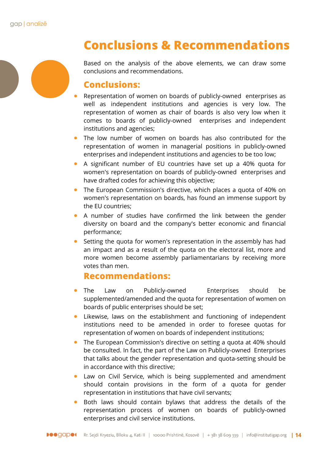

# **Conclusions & Recommendations**

Based on the analysis of the above elements, we can draw some conclusions and recommendations.

### **Conclusions:**

- Representation of women on boards of publicly-owned enterprises as well as independent institutions and agencies is very low. The representation of women as chair of boards is also very low when it comes to boards of publicly-owned enterprises and independent institutions and agencies;
- The low number of women on boards has also contributed for the representation of women in managerial positions in publicly-owned enterprises and independent institutions and agencies to be too low;
- A significant number of EU countries have set up a 40% quota for women's representation on boards of publicly-owned enterprises and have drafted codes for achieving this objective;
- The European Commission's directive, which places a quota of 40% on women's representation on boards, has found an immense support by the EU countries;
- A number of studies have confirmed the link between the gender diversity on board and the company's better economic and financial performance;
- Setting the quota for women's representation in the assembly has had an impact and as a result of the quota on the electoral list, more and more women become assembly parliamentarians by receiving more votes than men.

### **Recommendations:**

- The Law on Publicly-owned Enterprises should be supplemented/amended and the quota for representation of women on boards of public enterprises should be set;
- Likewise, laws on the establishment and functioning of independent institutions need to be amended in order to foresee quotas for representation of women on boards of independent institutions;
- The European Commission's directive on setting a quota at 40% should be consulted. In fact, the part of the Law on Publicly-owned Enterprises that talks about the gender representation and quota-setting should be in accordance with this directive;
- Law on Civil Service, which is being supplemented and amendment should contain provisions in the form of a quota for gender representation in institutions that have civil servants;
- Both laws should contain bylaws that address the details of the representation process of women on boards of publicly-owned enterprises and civil service institutions.